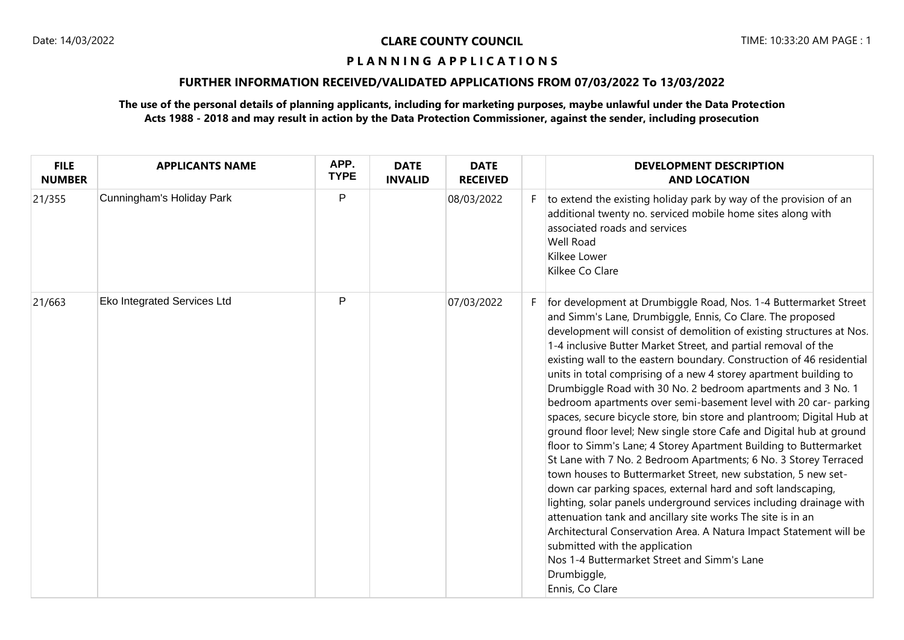# **FURTHER INFORMATION RECEIVED/VALIDATED APPLICATIONS FROM 07/03/2022 To 13/03/2022**

| <b>FILE</b><br><b>NUMBER</b> | <b>APPLICANTS NAME</b>             | APP.<br><b>TYPE</b> | <b>DATE</b><br><b>INVALID</b> | <b>DATE</b><br><b>RECEIVED</b> | <b>DEVELOPMENT DESCRIPTION</b><br><b>AND LOCATION</b>                                                                                                                                                                                                                                                                                                                                                                                                                                                                                                                                                                                                                                                                                                                                                                                                                                                                                                                                                                                                                                                                                                                                                                                                                                                                 |
|------------------------------|------------------------------------|---------------------|-------------------------------|--------------------------------|-----------------------------------------------------------------------------------------------------------------------------------------------------------------------------------------------------------------------------------------------------------------------------------------------------------------------------------------------------------------------------------------------------------------------------------------------------------------------------------------------------------------------------------------------------------------------------------------------------------------------------------------------------------------------------------------------------------------------------------------------------------------------------------------------------------------------------------------------------------------------------------------------------------------------------------------------------------------------------------------------------------------------------------------------------------------------------------------------------------------------------------------------------------------------------------------------------------------------------------------------------------------------------------------------------------------------|
| 21/355                       | Cunningham's Holiday Park          | P                   |                               | 08/03/2022                     | to extend the existing holiday park by way of the provision of an<br>additional twenty no. serviced mobile home sites along with<br>associated roads and services<br><b>Well Road</b><br>Kilkee Lower<br>Kilkee Co Clare                                                                                                                                                                                                                                                                                                                                                                                                                                                                                                                                                                                                                                                                                                                                                                                                                                                                                                                                                                                                                                                                                              |
| 21/663                       | <b>Eko Integrated Services Ltd</b> | P                   |                               | 07/03/2022                     | for development at Drumbiggle Road, Nos. 1-4 Buttermarket Street<br>and Simm's Lane, Drumbiggle, Ennis, Co Clare. The proposed<br>development will consist of demolition of existing structures at Nos.<br>1-4 inclusive Butter Market Street, and partial removal of the<br>existing wall to the eastern boundary. Construction of 46 residential<br>units in total comprising of a new 4 storey apartment building to<br>Drumbiggle Road with 30 No. 2 bedroom apartments and 3 No. 1<br>bedroom apartments over semi-basement level with 20 car- parking<br>spaces, secure bicycle store, bin store and plantroom; Digital Hub at<br>ground floor level; New single store Cafe and Digital hub at ground<br>floor to Simm's Lane; 4 Storey Apartment Building to Buttermarket<br>St Lane with 7 No. 2 Bedroom Apartments; 6 No. 3 Storey Terraced<br>town houses to Buttermarket Street, new substation, 5 new set-<br>down car parking spaces, external hard and soft landscaping,<br>lighting, solar panels underground services including drainage with<br>attenuation tank and ancillary site works The site is in an<br>Architectural Conservation Area. A Natura Impact Statement will be<br>submitted with the application<br>Nos 1-4 Buttermarket Street and Simm's Lane<br>Drumbiggle,<br>Ennis, Co Clare |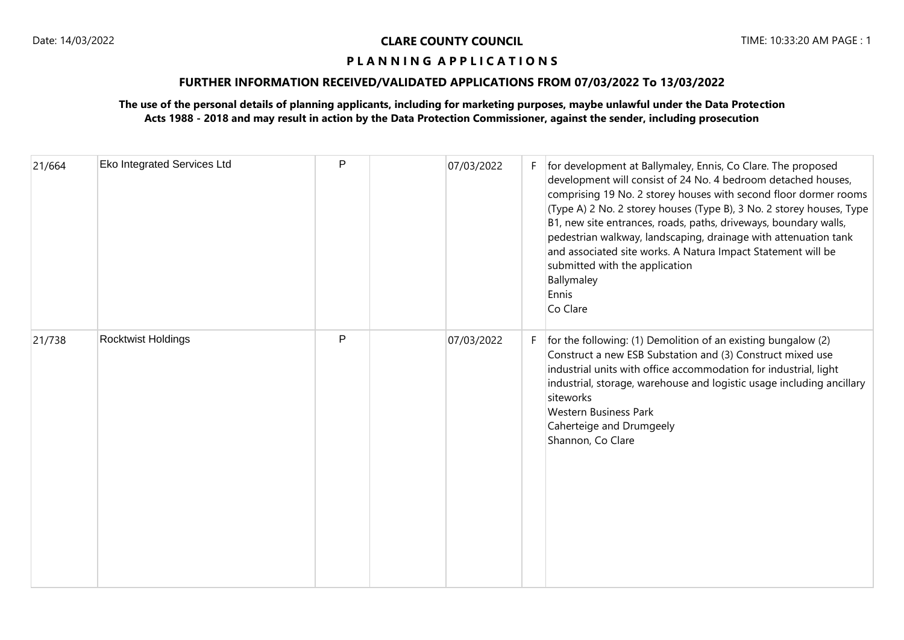## **FURTHER INFORMATION RECEIVED/VALIDATED APPLICATIONS FROM 07/03/2022 To 13/03/2022**

| 21/664 | Eko Integrated Services Ltd | P | 07/03/2022 | F. | for development at Ballymaley, Ennis, Co Clare. The proposed<br>development will consist of 24 No. 4 bedroom detached houses,<br>comprising 19 No. 2 storey houses with second floor dormer rooms<br>(Type A) 2 No. 2 storey houses (Type B), 3 No. 2 storey houses, Type<br>B1, new site entrances, roads, paths, driveways, boundary walls,<br>pedestrian walkway, landscaping, drainage with attenuation tank<br>and associated site works. A Natura Impact Statement will be<br>submitted with the application<br>Ballymaley<br>Ennis<br>Co Clare |
|--------|-----------------------------|---|------------|----|-------------------------------------------------------------------------------------------------------------------------------------------------------------------------------------------------------------------------------------------------------------------------------------------------------------------------------------------------------------------------------------------------------------------------------------------------------------------------------------------------------------------------------------------------------|
| 21/738 | Rocktwist Holdings          | P | 07/03/2022 | F. | for the following: (1) Demolition of an existing bungalow (2)<br>Construct a new ESB Substation and (3) Construct mixed use<br>industrial units with office accommodation for industrial, light<br>industrial, storage, warehouse and logistic usage including ancillary<br>siteworks<br><b>Western Business Park</b><br>Caherteige and Drumgeely<br>Shannon, Co Clare                                                                                                                                                                                |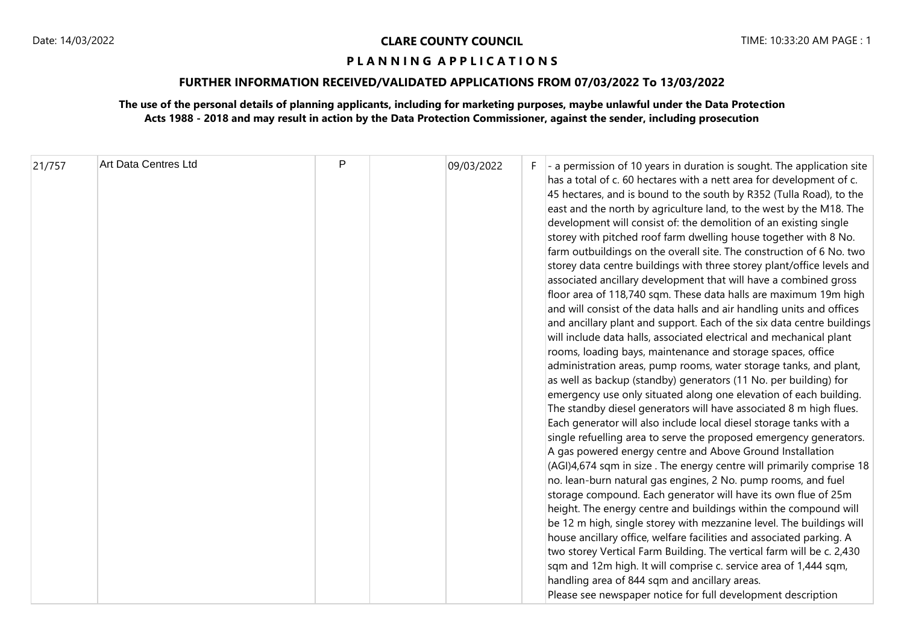# **FURTHER INFORMATION RECEIVED/VALIDATED APPLICATIONS FROM 07/03/2022 To 13/03/2022**

| 21/757 | Art Data Centres Ltd | P |  | 09/03/2022 | F. | $\vert$ - a permission of 10 years in duration is sought. The application site<br>has a total of c. 60 hectares with a nett area for development of c.<br>45 hectares, and is bound to the south by R352 (Tulla Road), to the<br>east and the north by agriculture land, to the west by the M18. The<br>development will consist of: the demolition of an existing single<br>storey with pitched roof farm dwelling house together with 8 No.<br>farm outbuildings on the overall site. The construction of 6 No. two<br>storey data centre buildings with three storey plant/office levels and<br>associated ancillary development that will have a combined gross<br>floor area of 118,740 sqm. These data halls are maximum 19m high<br>and will consist of the data halls and air handling units and offices<br>and ancillary plant and support. Each of the six data centre buildings<br>will include data halls, associated electrical and mechanical plant<br>rooms, loading bays, maintenance and storage spaces, office<br>administration areas, pump rooms, water storage tanks, and plant,<br>as well as backup (standby) generators (11 No. per building) for<br>emergency use only situated along one elevation of each building.<br>The standby diesel generators will have associated 8 m high flues.<br>Each generator will also include local diesel storage tanks with a<br>single refuelling area to serve the proposed emergency generators.<br>A gas powered energy centre and Above Ground Installation<br>(AGI)4,674 sqm in size . The energy centre will primarily comprise 18<br>no. lean-burn natural gas engines, 2 No. pump rooms, and fuel<br>storage compound. Each generator will have its own flue of 25m<br>height. The energy centre and buildings within the compound will<br>be 12 m high, single storey with mezzanine level. The buildings will<br>house ancillary office, welfare facilities and associated parking. A<br>two storey Vertical Farm Building. The vertical farm will be c. 2,430<br>sqm and 12m high. It will comprise c. service area of 1,444 sqm,<br>handling area of 844 sqm and ancillary areas.<br>Please see newspaper notice for full development description |
|--------|----------------------|---|--|------------|----|-----------------------------------------------------------------------------------------------------------------------------------------------------------------------------------------------------------------------------------------------------------------------------------------------------------------------------------------------------------------------------------------------------------------------------------------------------------------------------------------------------------------------------------------------------------------------------------------------------------------------------------------------------------------------------------------------------------------------------------------------------------------------------------------------------------------------------------------------------------------------------------------------------------------------------------------------------------------------------------------------------------------------------------------------------------------------------------------------------------------------------------------------------------------------------------------------------------------------------------------------------------------------------------------------------------------------------------------------------------------------------------------------------------------------------------------------------------------------------------------------------------------------------------------------------------------------------------------------------------------------------------------------------------------------------------------------------------------------------------------------------------------------------------------------------------------------------------------------------------------------------------------------------------------------------------------------------------------------------------------------------------------------------------------------------------------------------------------------------------------------------------------------------------------------------------------------------------------------------|
|--------|----------------------|---|--|------------|----|-----------------------------------------------------------------------------------------------------------------------------------------------------------------------------------------------------------------------------------------------------------------------------------------------------------------------------------------------------------------------------------------------------------------------------------------------------------------------------------------------------------------------------------------------------------------------------------------------------------------------------------------------------------------------------------------------------------------------------------------------------------------------------------------------------------------------------------------------------------------------------------------------------------------------------------------------------------------------------------------------------------------------------------------------------------------------------------------------------------------------------------------------------------------------------------------------------------------------------------------------------------------------------------------------------------------------------------------------------------------------------------------------------------------------------------------------------------------------------------------------------------------------------------------------------------------------------------------------------------------------------------------------------------------------------------------------------------------------------------------------------------------------------------------------------------------------------------------------------------------------------------------------------------------------------------------------------------------------------------------------------------------------------------------------------------------------------------------------------------------------------------------------------------------------------------------------------------------------------|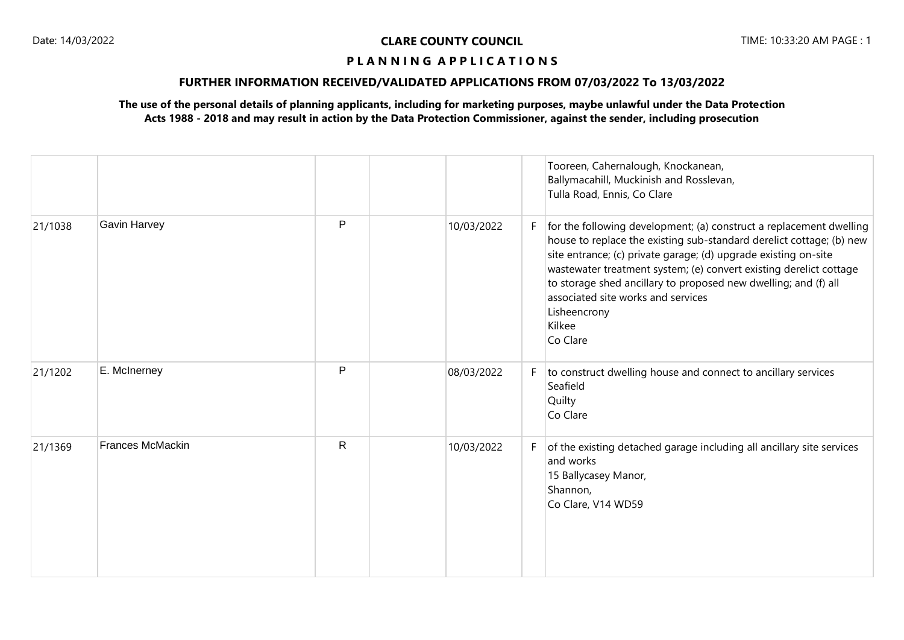# **FURTHER INFORMATION RECEIVED/VALIDATED APPLICATIONS FROM 07/03/2022 To 13/03/2022**

|         |                         |              |            |    | Tooreen, Cahernalough, Knockanean,<br>Ballymacahill, Muckinish and Rosslevan,<br>Tulla Road, Ennis, Co Clare                                                                                                                                                                                                                                                                                                                        |
|---------|-------------------------|--------------|------------|----|-------------------------------------------------------------------------------------------------------------------------------------------------------------------------------------------------------------------------------------------------------------------------------------------------------------------------------------------------------------------------------------------------------------------------------------|
| 21/1038 | <b>Gavin Harvey</b>     | P            | 10/03/2022 | F  | for the following development; (a) construct a replacement dwelling<br>house to replace the existing sub-standard derelict cottage; (b) new<br>site entrance; (c) private garage; (d) upgrade existing on-site<br>wastewater treatment system; (e) convert existing derelict cottage<br>to storage shed ancillary to proposed new dwelling; and (f) all<br>associated site works and services<br>Lisheencrony<br>Kilkee<br>Co Clare |
| 21/1202 | E. McInerney            | P            | 08/03/2022 | F. | to construct dwelling house and connect to ancillary services<br>Seafield<br>Quilty<br>Co Clare                                                                                                                                                                                                                                                                                                                                     |
| 21/1369 | <b>Frances McMackin</b> | $\mathsf{R}$ | 10/03/2022 | F  | of the existing detached garage including all ancillary site services<br>and works<br>15 Ballycasey Manor,<br>Shannon,<br>Co Clare, V14 WD59                                                                                                                                                                                                                                                                                        |